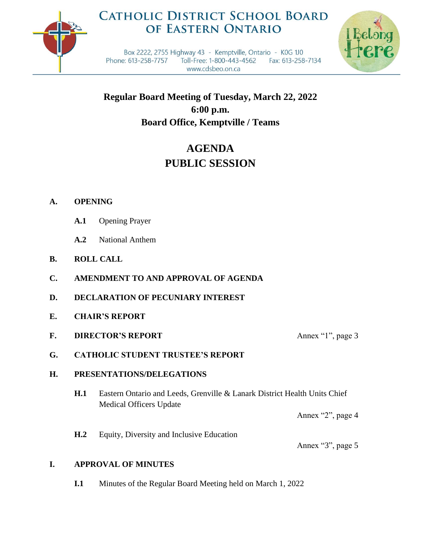

## **CATHOLIC DISTRICT SCHOOL BOARD** OF EASTERN ONTARIO



Box 2222, 2755 Highway 43 - Kemptville, Ontario - K0G 1J0 Phone: 613-258-7757 Toll-Free: 1-800-443-4562 Fax: 613-258-7134 www.cdsbeo.on.ca

**Regular Board Meeting of Tuesday, March 22, 2022 6:00 p.m. Board Office, Kemptville / Teams**

# **AGENDA PUBLIC SESSION**

## **A. OPENING**

- **A.1** Opening Prayer
- **A.2** National Anthem
- **B. ROLL CALL**
- **C. AMENDMENT TO AND APPROVAL OF AGENDA**
- **D. DECLARATION OF PECUNIARY INTEREST**
- **E. CHAIR'S REPORT**
- **F. DIRECTOR'S REPORT** Annex "1", page 3

## **G. CATHOLIC STUDENT TRUSTEE'S REPORT**

## **H. PRESENTATIONS/DELEGATIONS**

**H.1** Eastern Ontario and Leeds, Grenville & Lanark District Health Units Chief Medical Officers Update

Annex "2", page 4

**H.2** Equity, Diversity and Inclusive Education

Annex "3", page 5

## **I. APPROVAL OF MINUTES**

**I.1** Minutes of the Regular Board Meeting held on March 1, 2022